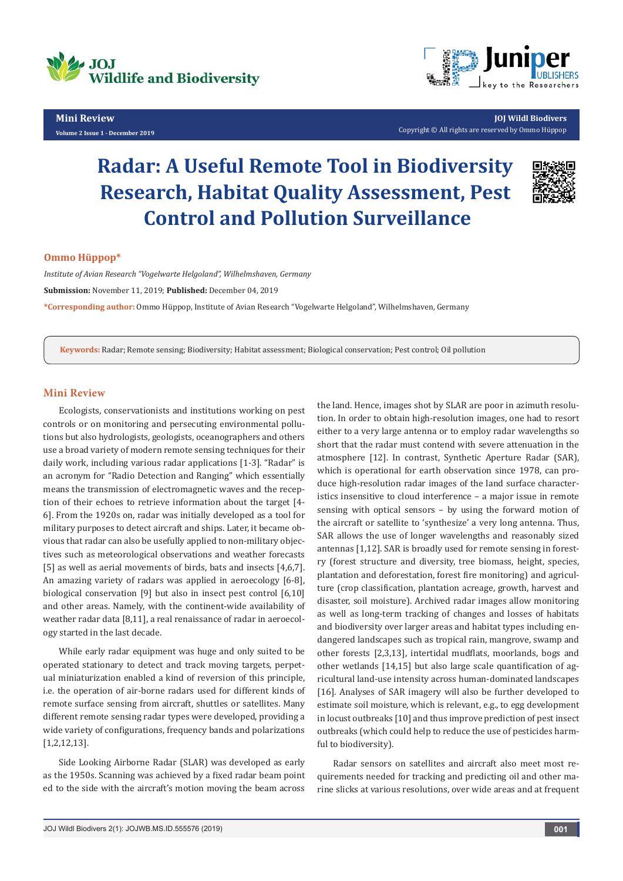

## **Mini Review**

**Volume 2 Issue 1 - December 2019**



**JOJ Wildl Biodivers** Copyright © All rights are reserved by Ommo Hüppop

# **Radar: A Useful Remote Tool in Biodiversity Research, Habitat Quality Assessment, Pest Control and Pollution Surveillance**



#### **Ommo Hüppop\***

*Institute of Avian Research "Vogelwarte Helgoland", Wilhelmshaven, Germany* **Submission:** November 11, 2019; **Published:** December 04, 2019

**\*Corresponding author:** Ommo Hüppop, Institute of Avian Research "Vogelwarte Helgoland", Wilhelmshaven, Germany

**Keywords:** Radar; Remote sensing; Biodiversity; Habitat assessment; Biological conservation; Pest control; Oil pollution

# **Mini Review**

Ecologists, conservationists and institutions working on pest controls or on monitoring and persecuting environmental pollutions but also hydrologists, geologists, oceanographers and others use a broad variety of modern remote sensing techniques for their daily work, including various radar applications [1-3]. "Radar" is an acronym for "Radio Detection and Ranging" which essentially means the transmission of electromagnetic waves and the reception of their echoes to retrieve information about the target [4- 6]. From the 1920s on, radar was initially developed as a tool for military purposes to detect aircraft and ships. Later, it became obvious that radar can also be usefully applied to non-military objectives such as meteorological observations and weather forecasts [5] as well as aerial movements of birds, bats and insects [4,6,7]. An amazing variety of radars was applied in aeroecology [6-8], biological conservation [9] but also in insect pest control [6,10] and other areas. Namely, with the continent-wide availability of weather radar data [8,11], a real renaissance of radar in aeroecology started in the last decade.

While early radar equipment was huge and only suited to be operated stationary to detect and track moving targets, perpetual miniaturization enabled a kind of reversion of this principle, i.e. the operation of air-borne radars used for different kinds of remote surface sensing from aircraft, shuttles or satellites. Many different remote sensing radar types were developed, providing a wide variety of configurations, frequency bands and polarizations [1,2,12,13].

Side Looking Airborne Radar (SLAR) was developed as early as the 1950s. Scanning was achieved by a fixed radar beam point ed to the side with the aircraft's motion moving the beam across

the land. Hence, images shot by SLAR are poor in azimuth resolution. In order to obtain high-resolution images, one had to resort either to a very large antenna or to employ radar wavelengths so short that the radar must contend with severe attenuation in the atmosphere [12]. In contrast, Synthetic Aperture Radar (SAR), which is operational for earth observation since 1978, can produce high-resolution radar images of the land surface characteristics insensitive to cloud interference – a major issue in remote sensing with optical sensors – by using the forward motion of the aircraft or satellite to 'synthesize' a very long antenna. Thus, SAR allows the use of longer wavelengths and reasonably sized antennas [1,12]. SAR is broadly used for remote sensing in forestry (forest structure and diversity, tree biomass, height, species, plantation and deforestation, forest fire monitoring) and agriculture (crop classification, plantation acreage, growth, harvest and disaster, soil moisture). Archived radar images allow monitoring as well as long-term tracking of changes and losses of habitats and biodiversity over larger areas and habitat types including endangered landscapes such as tropical rain, mangrove, swamp and other forests [2,3,13], intertidal mudflats, moorlands, bogs and other wetlands [14,15] but also large scale quantification of agricultural land-use intensity across human-dominated landscapes [16]. Analyses of SAR imagery will also be further developed to estimate soil moisture, which is relevant, e.g., to egg development in locust outbreaks [10] and thus improve prediction of pest insect outbreaks (which could help to reduce the use of pesticides harmful to biodiversity).

Radar sensors on satellites and aircraft also meet most requirements needed for tracking and predicting oil and other marine slicks at various resolutions, over wide areas and at frequent